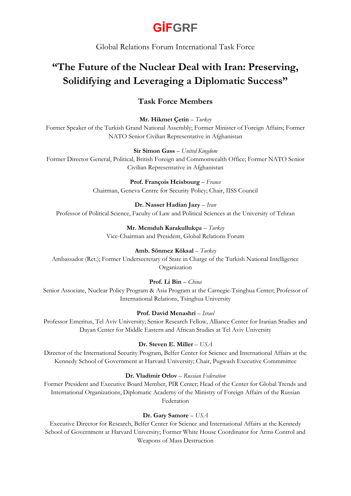# **GİFGRF**

Global Relations Forum International Task Force

## **"The Future of the Nuclear Deal with Iran: Preserving, Solidifying and Leveraging a Diplomatic Success"**

### **Task Force Members**

**Mr. Hikmet Çetin** – *Turkey*

Former Speaker of the Turkish Grand National Assembly; Former Minister of Foreign Affairs; Former NATO Senior Civilian Representative in Afghanistan

**Sir Simon Gass** – *United Kingdom* 

Former Director General, Political, British Foreign and Commonwealth Office; Former NATO Senior Civilian Representative in Afghanistan

> **Prof. François Heisbourg** – *France* Chairman, Geneva Centre for Security Policy; Chair, IISS Council

**Dr. Nasser Hadian Jazy** – *Iran* Professor of Political Science, Faculty of Law and Political Sciences at the University of Tehran

> **Mr. Memduh Karakullukçu** – *Turkey* Vice-Chairman and President, Global Relations Forum

#### **Amb. Sönmez Köksal** – *Turkey*

Ambassador (Ret.); Former Undersecretary of State in Charge of the Turkish National Intelligence Organization

#### **Prof. Li Bin** – *China*

Senior Associate, Nuclear Policy Program & Asia Program at the Carnegie-Tsinghua Center; Professor of International Relations, Tsinghua University

#### **Prof. David Menashri** – *Israel*

Professor Emeritus, Tel Aviv University; Senior Research Fellow, Alliance Center for Iranian Studies and Dayan Center for Middle Eastern and African Studies at Tel Aviv University

#### **Dr. Steven E. Miller** – *USA*

Director of the International Security Program, Belfer Center for Science and International Affairs at the Kennedy School of Government at Harvard University; Chair, Pugwash Executive Commmittee

#### **Dr. Vladimir Orlov** – *Russian Federation*

Former President and Executive Board Member, PIR Center; Head of the Center for Global Trends and International Organizations, Diplomatic Academy of the Ministry of Foreign Affairs of the Russian Federation

#### **Dr. Gary Samore** – *USA*

Executive Director for Research, Belfer Center for Science and International Affairs at the Kennedy School of Government at Harvard University; Former White House Coordinator for Arms Control and Weapons of Mass Destruction